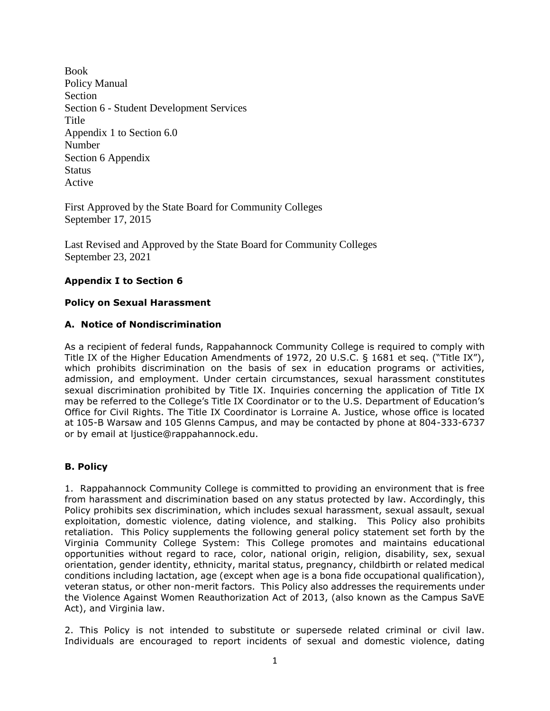Book Policy Manual Section Section 6 - Student Development Services Title Appendix 1 to Section 6.0 Number Section 6 Appendix **Status** Active

First Approved by the State Board for Community Colleges September 17, 2015

Last Revised and Approved by the State Board for Community Colleges September 23, 2021

# **Appendix I to Section 6**

### **Policy on Sexual Harassment**

### **A. Notice of Nondiscrimination**

As a recipient of federal funds, Rappahannock Community College is required to comply with Title IX of the Higher Education Amendments of 1972, 20 U.S.C. § 1681 et seq. ("Title IX"), which prohibits discrimination on the basis of sex in education programs or activities, admission, and employment. Under certain circumstances, sexual harassment constitutes sexual discrimination prohibited by Title IX. Inquiries concerning the application of Title IX may be referred to the College's Title IX Coordinator or to the U.S. Department of Education's Office for Civil Rights. The Title IX Coordinator is Lorraine A. Justice, whose office is located at 105-B Warsaw and 105 Glenns Campus, and may be contacted by phone at 804-333-6737 or by email at ljustice@rappahannock.edu.

# **B. Policy**

1. Rappahannock Community College is committed to providing an environment that is free from harassment and discrimination based on any status protected by law. Accordingly, this Policy prohibits sex discrimination, which includes sexual harassment, sexual assault, sexual exploitation, domestic violence, dating violence, and stalking. This Policy also prohibits retaliation. This Policy supplements the following general policy statement set forth by the Virginia Community College System: This College promotes and maintains educational opportunities without regard to race, color, national origin, religion, disability, sex, sexual orientation, gender identity, ethnicity, marital status, pregnancy, childbirth or related medical conditions including lactation, age (except when age is a bona fide occupational qualification), veteran status, or other non-merit factors. This Policy also addresses the requirements under the Violence Against Women Reauthorization Act of 2013, (also known as the Campus SaVE Act), and Virginia law.

2. This Policy is not intended to substitute or supersede related criminal or civil law. Individuals are encouraged to report incidents of sexual and domestic violence, dating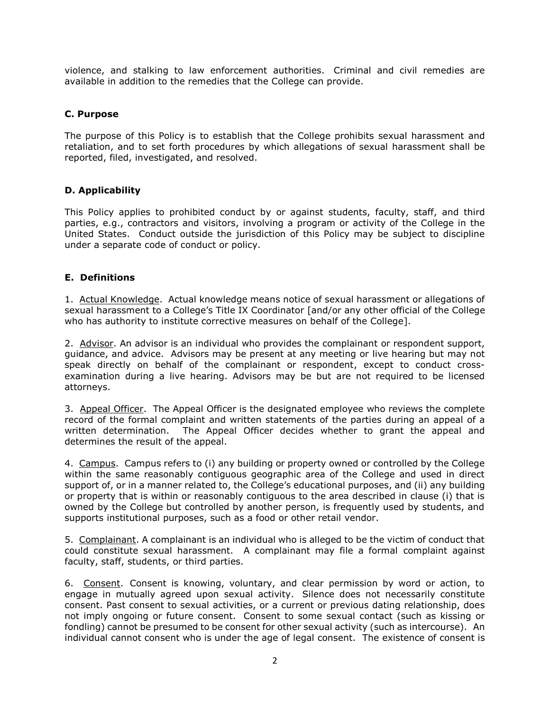violence, and stalking to law enforcement authorities. Criminal and civil remedies are available in addition to the remedies that the College can provide.

# **C. Purpose**

The purpose of this Policy is to establish that the College prohibits sexual harassment and retaliation, and to set forth procedures by which allegations of sexual harassment shall be reported, filed, investigated, and resolved.

### **D. Applicability**

This Policy applies to prohibited conduct by or against students, faculty, staff, and third parties, e.g., contractors and visitors, involving a program or activity of the College in the United States. Conduct outside the jurisdiction of this Policy may be subject to discipline under a separate code of conduct or policy.

### **E. Definitions**

1. Actual Knowledge.Actual knowledge means notice of sexual harassment or allegations of sexual harassment to a College's Title IX Coordinator [and/or any other official of the College who has authority to institute corrective measures on behalf of the College].

2. Advisor. An advisor is an individual who provides the complainant or respondent support, guidance, and advice. Advisors may be present at any meeting or live hearing but may not speak directly on behalf of the complainant or respondent, except to conduct crossexamination during a live hearing. Advisors may be but are not required to be licensed attorneys.

3. Appeal Officer. The Appeal Officer is the designated employee who reviews the complete record of the formal complaint and written statements of the parties during an appeal of a written determination. The Appeal Officer decides whether to grant the appeal and determines the result of the appeal.

4. Campus. Campus refers to (i) any building or property owned or controlled by the College within the same reasonably contiguous geographic area of the College and used in direct support of, or in a manner related to, the College's educational purposes, and (ii) any building or property that is within or reasonably contiguous to the area described in clause (i) that is owned by the College but controlled by another person, is frequently used by students, and supports institutional purposes, such as a food or other retail vendor.

5. Complainant. A complainant is an individual who is alleged to be the victim of conduct that could constitute sexual harassment. A complainant may file a formal complaint against faculty, staff, students, or third parties.

6. Consent. Consent is knowing, voluntary, and clear permission by word or action, to engage in mutually agreed upon sexual activity. Silence does not necessarily constitute consent. Past consent to sexual activities, or a current or previous dating relationship, does not imply ongoing or future consent. Consent to some sexual contact (such as kissing or fondling) cannot be presumed to be consent for other sexual activity (such as intercourse). An individual cannot consent who is under the age of legal consent. The existence of consent is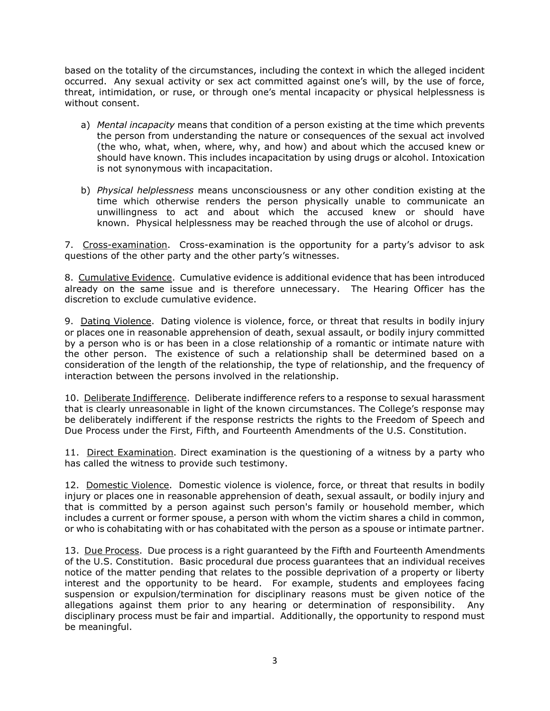based on the totality of the circumstances, including the context in which the alleged incident occurred. Any sexual activity or sex act committed against one's will, by the use of force, threat, intimidation, or ruse, or through one's mental incapacity or physical helplessness is without consent.

- a) *Mental incapacity* means that condition of a person existing at the time which prevents the person from understanding the nature or consequences of the sexual act involved (the who, what, when, where, why, and how) and about which the accused knew or should have known. This includes incapacitation by using drugs or alcohol. Intoxication is not synonymous with incapacitation.
- b) *Physical helplessness* means unconsciousness or any other condition existing at the time which otherwise renders the person physically unable to communicate an unwillingness to act and about which the accused knew or should have known. Physical helplessness may be reached through the use of alcohol or drugs.

7. Cross-examination. Cross-examination is the opportunity for a party's advisor to ask questions of the other party and the other party's witnesses.

8. Cumulative Evidence. Cumulative evidence is additional evidence that has been introduced already on the same issue and is therefore unnecessary. The Hearing Officer has the discretion to exclude cumulative evidence.

9. Dating Violence. Dating violence is violence, force, or threat that results in bodily injury or places one in reasonable apprehension of death, sexual assault, or bodily injury committed by a person who is or has been in a close relationship of a romantic or intimate nature with the other person. The existence of such a relationship shall be determined based on a consideration of the length of the relationship, the type of relationship, and the frequency of interaction between the persons involved in the relationship.

10. Deliberate Indifference. Deliberate indifference refers to a response to sexual harassment that is clearly unreasonable in light of the known circumstances. The College's response may be deliberately indifferent if the response restricts the rights to the Freedom of Speech and Due Process under the First, Fifth, and Fourteenth Amendments of the U.S. Constitution.

11. Direct Examination. Direct examination is the questioning of a witness by a party who has called the witness to provide such testimony.

12. Domestic Violence. Domestic violence is violence, force, or threat that results in bodily injury or places one in reasonable apprehension of death, sexual assault, or bodily injury and that is committed by a person against such person's family or household member, which includes a current or former spouse, a person with whom the victim shares a child in common, or who is cohabitating with or has cohabitated with the person as a spouse or intimate partner.

13. Due Process. Due process is a right guaranteed by the Fifth and Fourteenth Amendments of the U.S. Constitution. Basic procedural due process guarantees that an individual receives notice of the matter pending that relates to the possible deprivation of a property or liberty interest and the opportunity to be heard. For example, students and employees facing suspension or expulsion/termination for disciplinary reasons must be given notice of the allegations against them prior to any hearing or determination of responsibility. Any disciplinary process must be fair and impartial. Additionally, the opportunity to respond must be meaningful.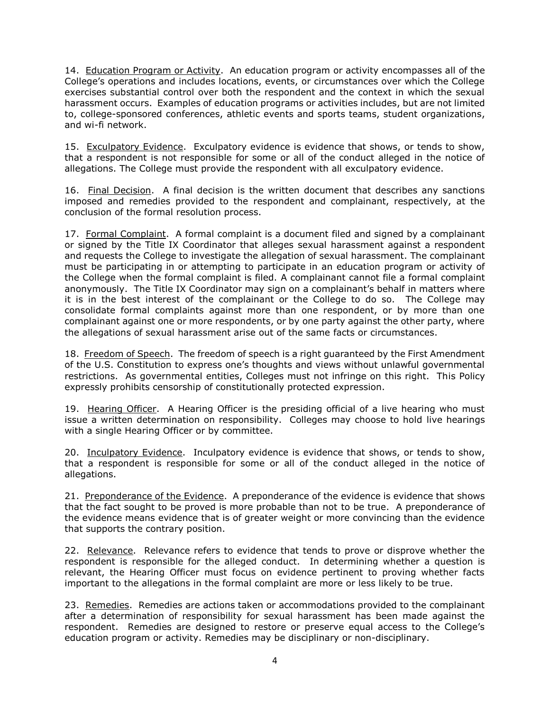14. Education Program or Activity. An education program or activity encompasses all of the College's operations and includes locations, events, or circumstances over which the College exercises substantial control over both the respondent and the context in which the sexual harassment occurs. Examples of education programs or activities includes, but are not limited to, college-sponsored conferences, athletic events and sports teams, student organizations, and wi-fi network.

15. Exculpatory Evidence. Exculpatory evidence is evidence that shows, or tends to show, that a respondent is not responsible for some or all of the conduct alleged in the notice of allegations. The College must provide the respondent with all exculpatory evidence.

16. Final Decision. A final decision is the written document that describes any sanctions imposed and remedies provided to the respondent and complainant, respectively, at the conclusion of the formal resolution process.

17. Formal Complaint. A formal complaint is a document filed and signed by a complainant or signed by the Title IX Coordinator that alleges sexual harassment against a respondent and requests the College to investigate the allegation of sexual harassment. The complainant must be participating in or attempting to participate in an education program or activity of the College when the formal complaint is filed. A complainant cannot file a formal complaint anonymously. The Title IX Coordinator may sign on a complainant's behalf in matters where it is in the best interest of the complainant or the College to do so. The College may consolidate formal complaints against more than one respondent, or by more than one complainant against one or more respondents, or by one party against the other party, where the allegations of sexual harassment arise out of the same facts or circumstances.

18. Freedom of Speech. The freedom of speech is a right guaranteed by the First Amendment of the U.S. Constitution to express one's thoughts and views without unlawful governmental restrictions. As governmental entities, Colleges must not infringe on this right. This Policy expressly prohibits censorship of constitutionally protected expression.

19. Hearing Officer. A Hearing Officer is the presiding official of a live hearing who must issue a written determination on responsibility. Colleges may choose to hold live hearings with a single Hearing Officer or by committee.

20. Inculpatory Evidence. Inculpatory evidence is evidence that shows, or tends to show, that a respondent is responsible for some or all of the conduct alleged in the notice of allegations.

21. Preponderance of the Evidence. A preponderance of the evidence is evidence that shows that the fact sought to be proved is more probable than not to be true. A preponderance of the evidence means evidence that is of greater weight or more convincing than the evidence that supports the contrary position.

22. Relevance. Relevance refers to evidence that tends to prove or disprove whether the respondent is responsible for the alleged conduct. In determining whether a question is relevant, the Hearing Officer must focus on evidence pertinent to proving whether facts important to the allegations in the formal complaint are more or less likely to be true.

23. Remedies. Remedies are actions taken or accommodations provided to the complainant after a determination of responsibility for sexual harassment has been made against the respondent. Remedies are designed to restore or preserve equal access to the College's education program or activity. Remedies may be disciplinary or non-disciplinary.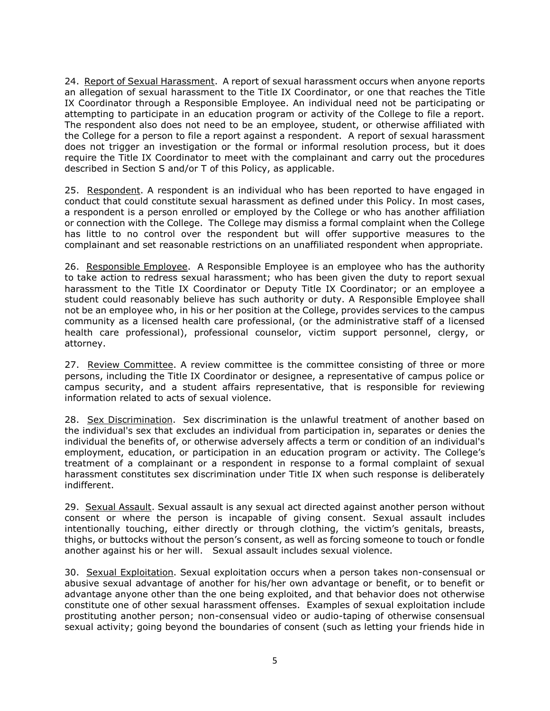24. Report of Sexual Harassment. A report of sexual harassment occurs when anyone reports an allegation of sexual harassment to the Title IX Coordinator, or one that reaches the Title IX Coordinator through a Responsible Employee. An individual need not be participating or attempting to participate in an education program or activity of the College to file a report. The respondent also does not need to be an employee, student, or otherwise affiliated with the College for a person to file a report against a respondent. A report of sexual harassment does not trigger an investigation or the formal or informal resolution process, but it does require the Title IX Coordinator to meet with the complainant and carry out the procedures described in Section S and/or T of this Policy, as applicable.

25. Respondent. A respondent is an individual who has been reported to have engaged in conduct that could constitute sexual harassment as defined under this Policy. In most cases, a respondent is a person enrolled or employed by the College or who has another affiliation or connection with the College. The College may dismiss a formal complaint when the College has little to no control over the respondent but will offer supportive measures to the complainant and set reasonable restrictions on an unaffiliated respondent when appropriate.

26. Responsible Employee. A Responsible Employee is an employee who has the authority to take action to redress sexual harassment; who has been given the duty to report sexual harassment to the Title IX Coordinator or Deputy Title IX Coordinator; or an employee a student could reasonably believe has such authority or duty. A Responsible Employee shall not be an employee who, in his or her position at the College, provides services to the campus community as a licensed health care professional, (or the administrative staff of a licensed health care professional), professional counselor, victim support personnel, clergy, or attorney.

27. Review Committee. A review committee is the committee consisting of three or more persons, including the Title IX Coordinator or designee, a representative of campus police or campus security, and a student affairs representative, that is responsible for reviewing information related to acts of sexual violence.

28. Sex Discrimination. Sex discrimination is the unlawful treatment of another based on the individual's sex that excludes an individual from participation in, separates or denies the individual the benefits of, or otherwise adversely affects a term or condition of an individual's employment, education, or participation in an education program or activity. The College's treatment of a complainant or a respondent in response to a formal complaint of sexual harassment constitutes sex discrimination under Title IX when such response is deliberately indifferent.

29. Sexual Assault. Sexual assault is any sexual act directed against another person without consent or where the person is incapable of giving consent. Sexual assault includes intentionally touching, either directly or through clothing, the victim's genitals, breasts, thighs, or buttocks without the person's consent, as well as forcing someone to touch or fondle another against his or her will. Sexual assault includes sexual violence.

30. Sexual Exploitation. Sexual exploitation occurs when a person takes non-consensual or abusive sexual advantage of another for his/her own advantage or benefit, or to benefit or advantage anyone other than the one being exploited, and that behavior does not otherwise constitute one of other sexual harassment offenses. Examples of sexual exploitation include prostituting another person; non-consensual video or audio-taping of otherwise consensual sexual activity; going beyond the boundaries of consent (such as letting your friends hide in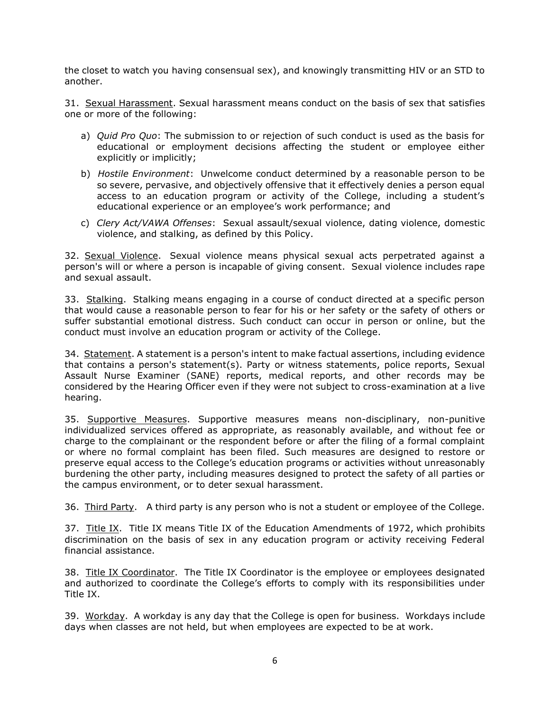the closet to watch you having consensual sex), and knowingly transmitting HIV or an STD to another.

31. Sexual Harassment. Sexual harassment means conduct on the basis of sex that satisfies one or more of the following:

- a) *Quid Pro Quo*: The submission to or rejection of such conduct is used as the basis for educational or employment decisions affecting the student or employee either explicitly or implicitly;
- b) *Hostile Environment*: Unwelcome conduct determined by a reasonable person to be so severe, pervasive, and objectively offensive that it effectively denies a person equal access to an education program or activity of the College, including a student's educational experience or an employee's work performance; and
- c) *Clery Act/VAWA Offenses*: Sexual assault/sexual violence, dating violence, domestic violence, and stalking, as defined by this Policy.

32. Sexual Violence. Sexual violence means physical sexual acts perpetrated against a person's will or where a person is incapable of giving consent. Sexual violence includes rape and sexual assault.

33. Stalking. Stalking means engaging in a course of conduct directed at a specific person that would cause a reasonable person to fear for his or her safety or the safety of others or suffer substantial emotional distress. Such conduct can occur in person or online, but the conduct must involve an education program or activity of the College.

34. Statement. A statement is a person's intent to make factual assertions, including evidence that contains a person's statement(s). Party or witness statements, police reports, Sexual Assault Nurse Examiner (SANE) reports, medical reports, and other records may be considered by the Hearing Officer even if they were not subject to cross-examination at a live hearing.

35. Supportive Measures. Supportive measures means non-disciplinary, non-punitive individualized services offered as appropriate, as reasonably available, and without fee or charge to the complainant or the respondent before or after the filing of a formal complaint or where no formal complaint has been filed. Such measures are designed to restore or preserve equal access to the College's education programs or activities without unreasonably burdening the other party, including measures designed to protect the safety of all parties or the campus environment, or to deter sexual harassment.

36. Third Party. A third party is any person who is not a student or employee of the College.

37. Title IX. Title IX means Title IX of the Education Amendments of 1972, which prohibits discrimination on the basis of sex in any education program or activity receiving Federal financial assistance.

38. Title IX Coordinator. The Title IX Coordinator is the employee or employees designated and authorized to coordinate the College's efforts to comply with its responsibilities under Title IX.

39. Workday. A workday is any day that the College is open for business. Workdays include days when classes are not held, but when employees are expected to be at work.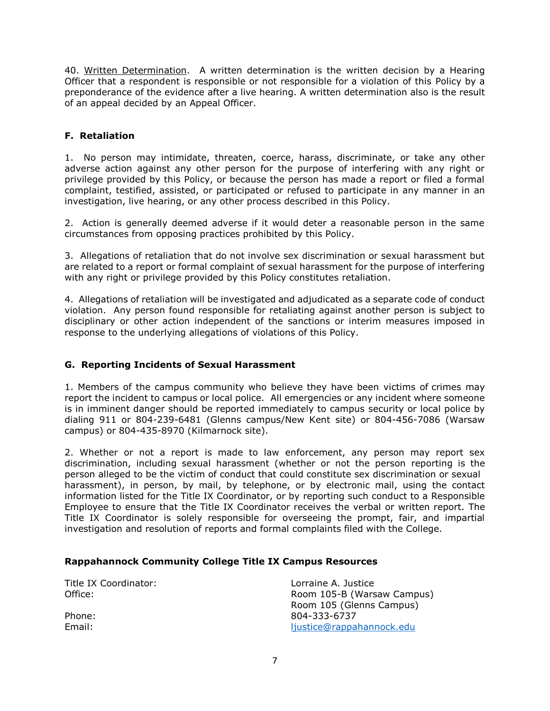40. Written Determination. A written determination is the written decision by a Hearing Officer that a respondent is responsible or not responsible for a violation of this Policy by a preponderance of the evidence after a live hearing. A written determination also is the result of an appeal decided by an Appeal Officer.

# **F. Retaliation**

1. No person may intimidate, threaten, coerce, harass, discriminate, or take any other adverse action against any other person for the purpose of interfering with any right or privilege provided by this Policy, or because the person has made a report or filed a formal complaint, testified, assisted, or participated or refused to participate in any manner in an investigation, live hearing, or any other process described in this Policy.

2. Action is generally deemed adverse if it would deter a reasonable person in the same circumstances from opposing practices prohibited by this Policy.

3. Allegations of retaliation that do not involve sex discrimination or sexual harassment but are related to a report or formal complaint of sexual harassment for the purpose of interfering with any right or privilege provided by this Policy constitutes retaliation.

4. Allegations of retaliation will be investigated and adjudicated as a separate code of conduct violation. Any person found responsible for retaliating against another person is subject to disciplinary or other action independent of the sanctions or interim measures imposed in response to the underlying allegations of violations of this Policy.

# **G. Reporting Incidents of Sexual Harassment**

1. Members of the campus community who believe they have been victims of crimes may report the incident to campus or local police. All emergencies or any incident where someone is in imminent danger should be reported immediately to campus security or local police by dialing 911 or 804-239-6481 (Glenns campus/New Kent site) or 804-456-7086 (Warsaw campus) or 804-435-8970 (Kilmarnock site).

2. Whether or not a report is made to law enforcement, any person may report sex discrimination, including sexual harassment (whether or not the person reporting is the person alleged to be the victim of conduct that could constitute sex discrimination or sexual harassment), in person, by mail, by telephone, or by electronic mail, using the contact information listed for the Title IX Coordinator, or by reporting such conduct to a Responsible Employee to ensure that the Title IX Coordinator receives the verbal or written report. The Title IX Coordinator is solely responsible for overseeing the prompt, fair, and impartial investigation and resolution of reports and formal complaints filed with the College.

#### **Rappahannock Community College Title IX Campus Resources**

| Title IX Coordinator:<br>Office: | Lorraine A. Justice<br>Room 105-B (Warsaw Campus) |
|----------------------------------|---------------------------------------------------|
|                                  | Room 105 (Glenns Campus)                          |
| Phone:                           | 804-333-6737                                      |
| Email:                           | ljustice@rappahannock.edu                         |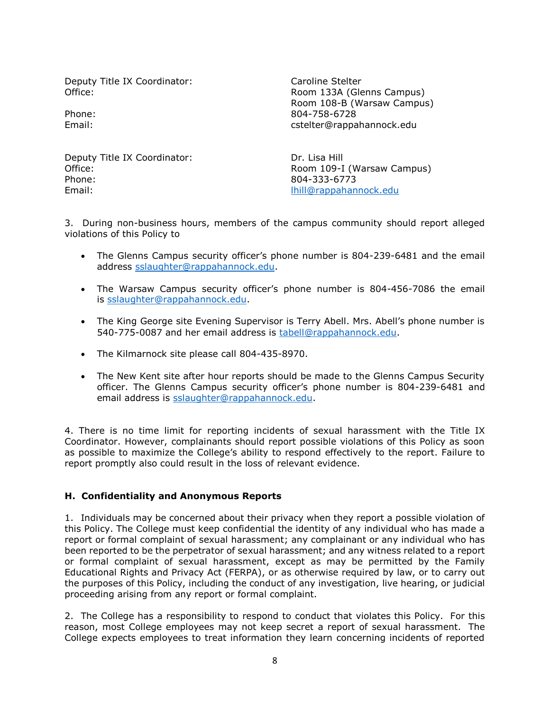Deputy Title IX Coordinator: Caroline Stelter

Office: Communication of the Room 133A (Glenns Campus) Room 108-B (Warsaw Campus) Phone: 804-758-6728 Email: cstelter@rappahannock.edu

Deputy Title IX Coordinator: Dr. Lisa Hill Phone: 804-333-6773 Email: **Email: [lhill@rappahannock.edu](mailto:lhill@rappahannock.edu)** 

Office: **Room 109-I (Warsaw Campus)** Room 109-I (Warsaw Campus)

3. During non-business hours, members of the campus community should report alleged violations of this Policy to

- The Glenns Campus security officer's phone number is 804-239-6481 and the email address [sslaughter@rappahannock.edu.](mailto:sslaughter@rappahannock.edu)
- The Warsaw Campus security officer's phone number is 804-456-7086 the email is [sslaughter@rappahannock.edu.](mailto:sslaughter@rappahannock.edu)
- The King George site Evening Supervisor is Terry Abell. Mrs. Abell's phone number is 540-775-0087 and her email address is [tabell@rappahannock.edu.](mailto:tabell@rappahannock.edu)
- The Kilmarnock site please call 804-435-8970.
- The New Kent site after hour reports should be made to the Glenns Campus Security officer. The Glenns Campus security officer's phone number is 804-239-6481 and email address is [sslaughter@rappahannock.edu.](mailto:sslaughter@rappahannock.edu)

4. There is no time limit for reporting incidents of sexual harassment with the Title IX Coordinator. However, complainants should report possible violations of this Policy as soon as possible to maximize the College's ability to respond effectively to the report. Failure to report promptly also could result in the loss of relevant evidence.

# **H. Confidentiality and Anonymous Reports**

1. Individuals may be concerned about their privacy when they report a possible violation of this Policy. The College must keep confidential the identity of any individual who has made a report or formal complaint of sexual harassment; any complainant or any individual who has been reported to be the perpetrator of sexual harassment; and any witness related to a report or formal complaint of sexual harassment, except as may be permitted by the Family Educational Rights and Privacy Act (FERPA), or as otherwise required by law, or to carry out the purposes of this Policy, including the conduct of any investigation, live hearing, or judicial proceeding arising from any report or formal complaint.

2. The College has a responsibility to respond to conduct that violates this Policy. For this reason, most College employees may not keep secret a report of sexual harassment. The College expects employees to treat information they learn concerning incidents of reported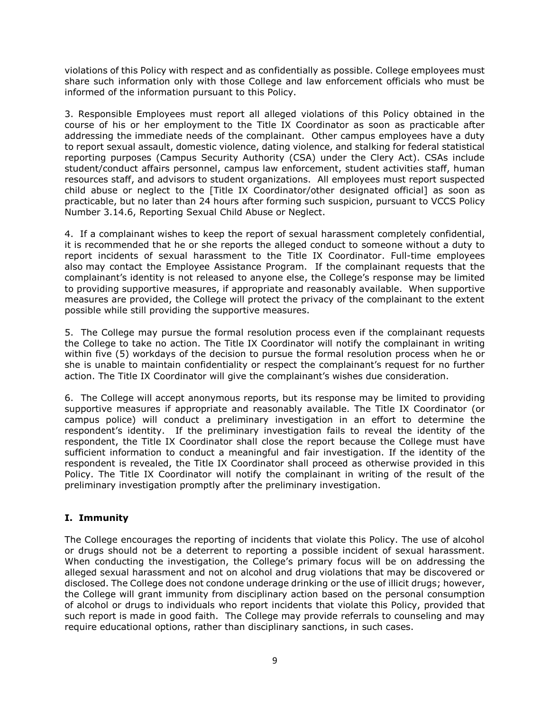violations of this Policy with respect and as confidentially as possible. College employees must share such information only with those College and law enforcement officials who must be informed of the information pursuant to this Policy.

3. Responsible Employees must report all alleged violations of this Policy obtained in the course of his or her employment to the Title IX Coordinator as soon as practicable after addressing the immediate needs of the complainant. Other campus employees have a duty to report sexual assault, domestic violence, dating violence, and stalking for federal statistical reporting purposes (Campus Security Authority (CSA) under the Clery Act). CSAs include student/conduct affairs personnel, campus law enforcement, student activities staff, human resources staff, and advisors to student organizations. All employees must report suspected child abuse or neglect to the [Title IX Coordinator/other designated official] as soon as practicable, but no later than 24 hours after forming such suspicion, pursuant to VCCS Policy Number 3.14.6, Reporting Sexual Child Abuse or Neglect.

4. If a complainant wishes to keep the report of sexual harassment completely confidential, it is recommended that he or she reports the alleged conduct to someone without a duty to report incidents of sexual harassment to the Title IX Coordinator. Full-time employees also may contact the Employee Assistance Program. If the complainant requests that the complainant's identity is not released to anyone else, the College's response may be limited to providing supportive measures, if appropriate and reasonably available. When supportive measures are provided, the College will protect the privacy of the complainant to the extent possible while still providing the supportive measures.

5. The College may pursue the formal resolution process even if the complainant requests the College to take no action. The Title IX Coordinator will notify the complainant in writing within five (5) workdays of the decision to pursue the formal resolution process when he or she is unable to maintain confidentiality or respect the complainant's request for no further action. The Title IX Coordinator will give the complainant's wishes due consideration.

6. The College will accept anonymous reports, but its response may be limited to providing supportive measures if appropriate and reasonably available. The Title IX Coordinator (or campus police) will conduct a preliminary investigation in an effort to determine the respondent's identity. If the preliminary investigation fails to reveal the identity of the respondent, the Title IX Coordinator shall close the report because the College must have sufficient information to conduct a meaningful and fair investigation. If the identity of the respondent is revealed, the Title IX Coordinator shall proceed as otherwise provided in this Policy. The Title IX Coordinator will notify the complainant in writing of the result of the preliminary investigation promptly after the preliminary investigation.

# **I. Immunity**

The College encourages the reporting of incidents that violate this Policy. The use of alcohol or drugs should not be a deterrent to reporting a possible incident of sexual harassment. When conducting the investigation, the College's primary focus will be on addressing the alleged sexual harassment and not on alcohol and drug violations that may be discovered or disclosed. The College does not condone underage drinking or the use of illicit drugs; however, the College will grant immunity from disciplinary action based on the personal consumption of alcohol or drugs to individuals who report incidents that violate this Policy, provided that such report is made in good faith. The College may provide referrals to counseling and may require educational options, rather than disciplinary sanctions, in such cases.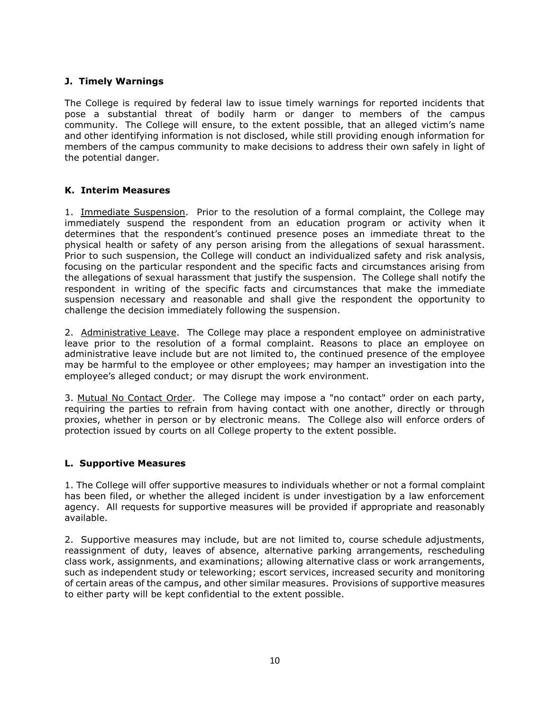# **J. Timely Warnings**

The College is required by federal law to issue timely warnings for reported incidents that pose a substantial threat of bodily harm or danger to members of the campus community. The College will ensure, to the extent possible, that an alleged victim's name and other identifying information is not disclosed, while still providing enough information for members of the campus community to make decisions to address their own safely in light of the potential danger.

### **K. Interim Measures**

1. Immediate Suspension. Prior to the resolution of a formal complaint, the College may immediately suspend the respondent from an education program or activity when it determines that the respondent's continued presence poses an immediate threat to the physical health or safety of any person arising from the allegations of sexual harassment. Prior to such suspension, the College will conduct an individualized safety and risk analysis, focusing on the particular respondent and the specific facts and circumstances arising from the allegations of sexual harassment that justify the suspension. The College shall notify the respondent in writing of the specific facts and circumstances that make the immediate suspension necessary and reasonable and shall give the respondent the opportunity to challenge the decision immediately following the suspension.

2. Administrative Leave. The College may place a respondent employee on administrative leave prior to the resolution of a formal complaint. Reasons to place an employee on administrative leave include but are not limited to, the continued presence of the employee may be harmful to the employee or other employees; may hamper an investigation into the employee's alleged conduct; or may disrupt the work environment.

3. Mutual No Contact Order. The College may impose a "no contact" order on each party, requiring the parties to refrain from having contact with one another, directly or through proxies, whether in person or by electronic means. The College also will enforce orders of protection issued by courts on all College property to the extent possible.

#### **L. Supportive Measures**

1. The College will offer supportive measures to individuals whether or not a formal complaint has been filed, or whether the alleged incident is under investigation by a law enforcement agency. All requests for supportive measures will be provided if appropriate and reasonably available.

2. Supportive measures may include, but are not limited to, course schedule adjustments, reassignment of duty, leaves of absence, alternative parking arrangements, rescheduling class work, assignments, and examinations; allowing alternative class or work arrangements, such as independent study or teleworking; escort services, increased security and monitoring of certain areas of the campus, and other similar measures. Provisions of supportive measures to either party will be kept confidential to the extent possible.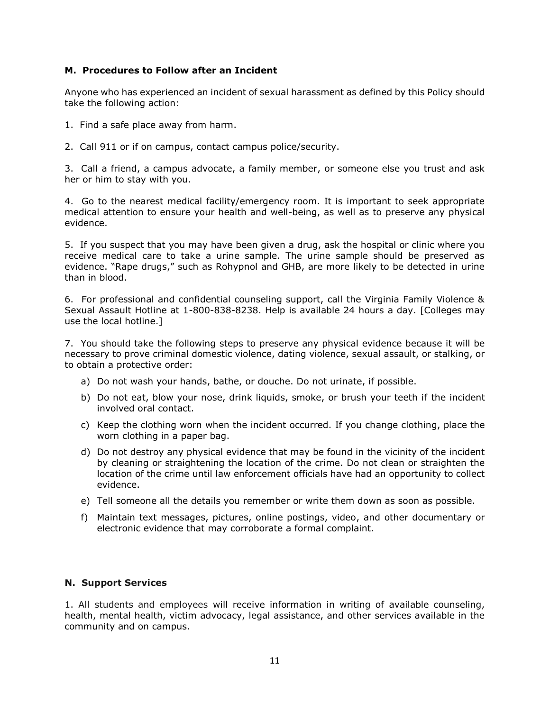#### **M. Procedures to Follow after an Incident**

Anyone who has experienced an incident of sexual harassment as defined by this Policy should take the following action:

- 1. Find a safe place away from harm.
- 2. Call 911 or if on campus, contact campus police/security.

3. Call a friend, a campus advocate, a family member, or someone else you trust and ask her or him to stay with you.

4. Go to the nearest medical facility/emergency room. It is important to seek appropriate medical attention to ensure your health and well-being, as well as to preserve any physical evidence.

5. If you suspect that you may have been given a drug, ask the hospital or clinic where you receive medical care to take a urine sample. The urine sample should be preserved as evidence. "Rape drugs," such as Rohypnol and GHB, are more likely to be detected in urine than in blood.

6. For professional and confidential counseling support, call the Virginia Family Violence & Sexual Assault Hotline at 1-800-838-8238. Help is available 24 hours a day. [Colleges may use the local hotline.]

7. You should take the following steps to preserve any physical evidence because it will be necessary to prove criminal domestic violence, dating violence, sexual assault, or stalking, or to obtain a protective order:

- a) Do not wash your hands, bathe, or douche. Do not urinate, if possible.
- b) Do not eat, blow your nose, drink liquids, smoke, or brush your teeth if the incident involved oral contact.
- c) Keep the clothing worn when the incident occurred. If you change clothing, place the worn clothing in a paper bag.
- d) Do not destroy any physical evidence that may be found in the vicinity of the incident by cleaning or straightening the location of the crime. Do not clean or straighten the location of the crime until law enforcement officials have had an opportunity to collect evidence.
- e) Tell someone all the details you remember or write them down as soon as possible.
- f) Maintain text messages, pictures, online postings, video, and other documentary or electronic evidence that may corroborate a formal complaint.

#### **N. Support Services**

1. All students and employees will receive information in writing of available counseling, health, mental health, victim advocacy, legal assistance, and other services available in the community and on campus.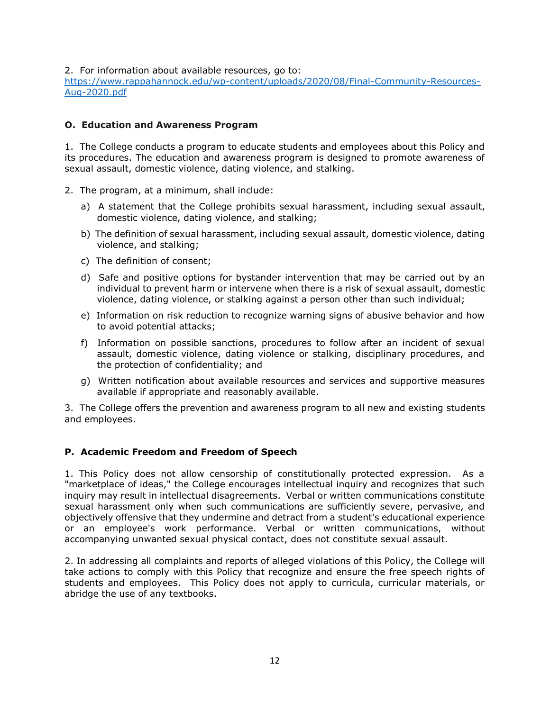2. For information about available resources, go to:

[https://www.rappahannock.edu/wp-content/uploads/2020/08/Final-Community-Resources-](https://www.rappahannock.edu/wp-content/uploads/2020/08/Final-Community-Resources-Aug-2020.pdf)[Aug-2020.pdf](https://www.rappahannock.edu/wp-content/uploads/2020/08/Final-Community-Resources-Aug-2020.pdf)

### **O. Education and Awareness Program**

1. The College conducts a program to educate students and employees about this Policy and its procedures. The education and awareness program is designed to promote awareness of sexual assault, domestic violence, dating violence, and stalking.

- 2. The program, at a minimum, shall include:
	- a) A statement that the College prohibits sexual harassment, including sexual assault, domestic violence, dating violence, and stalking;
	- b) The definition of sexual harassment, including sexual assault, domestic violence, dating violence, and stalking;
	- c) The definition of consent;
	- d) Safe and positive options for bystander intervention that may be carried out by an individual to prevent harm or intervene when there is a risk of sexual assault, domestic violence, dating violence, or stalking against a person other than such individual;
	- e) Information on risk reduction to recognize warning signs of abusive behavior and how to avoid potential attacks;
	- f) Information on possible sanctions, procedures to follow after an incident of sexual assault, domestic violence, dating violence or stalking, disciplinary procedures, and the protection of confidentiality; and
	- g) Written notification about available resources and services and supportive measures available if appropriate and reasonably available.

3. The College offers the prevention and awareness program to all new and existing students and employees.

#### **P. Academic Freedom and Freedom of Speech**

1. This Policy does not allow censorship of constitutionally protected expression. As a "marketplace of ideas," the College encourages intellectual inquiry and recognizes that such inquiry may result in intellectual disagreements. Verbal or written communications constitute sexual harassment only when such communications are sufficiently severe, pervasive, and objectively offensive that they undermine and detract from a student's educational experience or an employee's work performance. Verbal or written communications, without accompanying unwanted sexual physical contact, does not constitute sexual assault.

2. In addressing all complaints and reports of alleged violations of this Policy, the College will take actions to comply with this Policy that recognize and ensure the free speech rights of students and employees. This Policy does not apply to curricula, curricular materials, or abridge the use of any textbooks.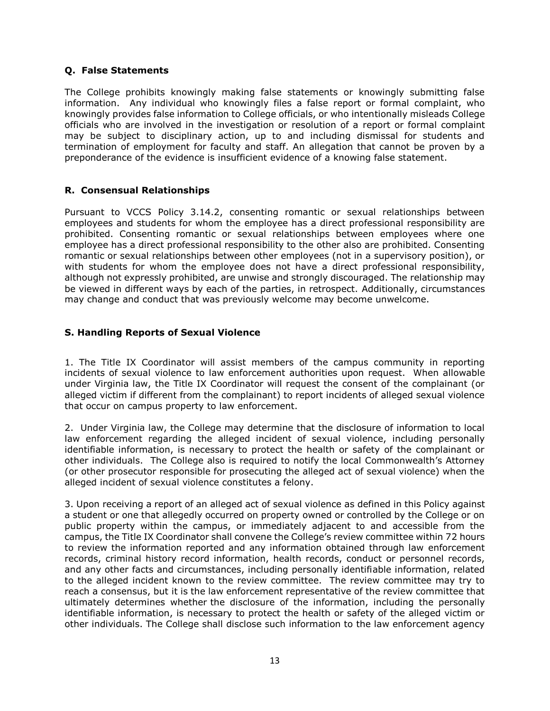## **Q. False Statements**

The College prohibits knowingly making false statements or knowingly submitting false information. Any individual who knowingly files a false report or formal complaint, who knowingly provides false information to College officials, or who intentionally misleads College officials who are involved in the investigation or resolution of a report or formal complaint may be subject to disciplinary action, up to and including dismissal for students and termination of employment for faculty and staff. An allegation that cannot be proven by a preponderance of the evidence is insufficient evidence of a knowing false statement.

### **R. Consensual Relationships**

Pursuant to VCCS Policy 3.14.2, consenting romantic or sexual relationships between employees and students for whom the employee has a direct professional responsibility are prohibited. Consenting romantic or sexual relationships between employees where one employee has a direct professional responsibility to the other also are prohibited. Consenting romantic or sexual relationships between other employees (not in a supervisory position), or with students for whom the employee does not have a direct professional responsibility, although not expressly prohibited, are unwise and strongly discouraged. The relationship may be viewed in different ways by each of the parties, in retrospect. Additionally, circumstances may change and conduct that was previously welcome may become unwelcome.

# **S. Handling Reports of Sexual Violence**

1. The Title IX Coordinator will assist members of the campus community in reporting incidents of sexual violence to law enforcement authorities upon request. When allowable under Virginia law, the Title IX Coordinator will request the consent of the complainant (or alleged victim if different from the complainant) to report incidents of alleged sexual violence that occur on campus property to law enforcement.

2. Under Virginia law, the College may determine that the disclosure of information to local law enforcement regarding the alleged incident of sexual violence, including personally identifiable information, is necessary to protect the health or safety of the complainant or other individuals. The College also is required to notify the local Commonwealth's Attorney (or other prosecutor responsible for prosecuting the alleged act of sexual violence) when the alleged incident of sexual violence constitutes a felony.

3. Upon receiving a report of an alleged act of sexual violence as defined in this Policy against a student or one that allegedly occurred on property owned or controlled by the College or on public property within the campus, or immediately adjacent to and accessible from the campus, the Title IX Coordinator shall convene the College's review committee within 72 hours to review the information reported and any information obtained through law enforcement records, criminal history record information, health records, conduct or personnel records, and any other facts and circumstances, including personally identifiable information, related to the alleged incident known to the review committee. The review committee may try to reach a consensus, but it is the law enforcement representative of the review committee that ultimately determines whether the disclosure of the information, including the personally identifiable information, is necessary to protect the health or safety of the alleged victim or other individuals. The College shall disclose such information to the law enforcement agency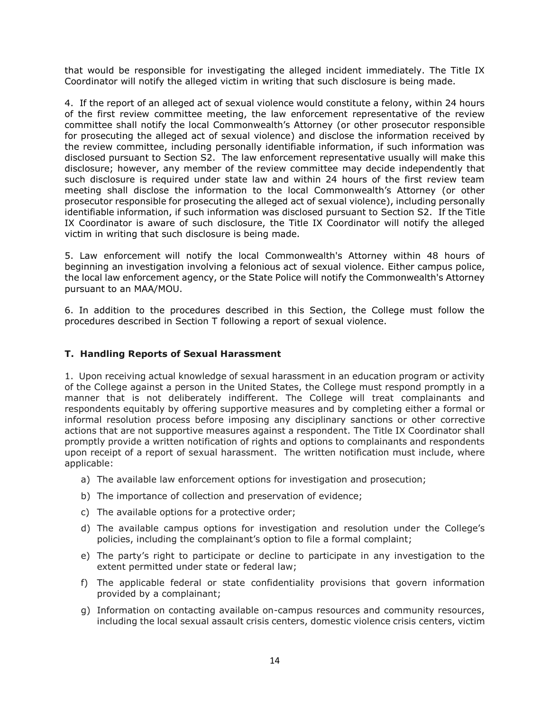that would be responsible for investigating the alleged incident immediately. The Title IX Coordinator will notify the alleged victim in writing that such disclosure is being made.

4. If the report of an alleged act of sexual violence would constitute a felony, within 24 hours of the first review committee meeting, the law enforcement representative of the review committee shall notify the local Commonwealth's Attorney (or other prosecutor responsible for prosecuting the alleged act of sexual violence) and disclose the information received by the review committee, including personally identifiable information, if such information was disclosed pursuant to Section S2. The law enforcement representative usually will make this disclosure; however, any member of the review committee may decide independently that such disclosure is required under state law and within 24 hours of the first review team meeting shall disclose the information to the local Commonwealth's Attorney (or other prosecutor responsible for prosecuting the alleged act of sexual violence), including personally identifiable information, if such information was disclosed pursuant to Section S2. If the Title IX Coordinator is aware of such disclosure, the Title IX Coordinator will notify the alleged victim in writing that such disclosure is being made.

5. Law enforcement will notify the local Commonwealth's Attorney within 48 hours of beginning an investigation involving a felonious act of sexual violence. Either campus police, the local law enforcement agency, or the State Police will notify the Commonwealth's Attorney pursuant to an MAA/MOU.

6. In addition to the procedures described in this Section, the College must follow the procedures described in Section T following a report of sexual violence.

# **T. Handling Reports of Sexual Harassment**

1. Upon receiving actual knowledge of sexual harassment in an education program or activity of the College against a person in the United States, the College must respond promptly in a manner that is not deliberately indifferent. The College will treat complainants and respondents equitably by offering supportive measures and by completing either a formal or informal resolution process before imposing any disciplinary sanctions or other corrective actions that are not supportive measures against a respondent. The Title IX Coordinator shall promptly provide a written notification of rights and options to complainants and respondents upon receipt of a report of sexual harassment. The written notification must include, where applicable:

- a) The available law enforcement options for investigation and prosecution;
- b) The importance of collection and preservation of evidence;
- c) The available options for a protective order;
- d) The available campus options for investigation and resolution under the College's policies, including the complainant's option to file a formal complaint;
- e) The party's right to participate or decline to participate in any investigation to the extent permitted under state or federal law;
- f) The applicable federal or state confidentiality provisions that govern information provided by a complainant;
- g) Information on contacting available on-campus resources and community resources, including the local sexual assault crisis centers, domestic violence crisis centers, victim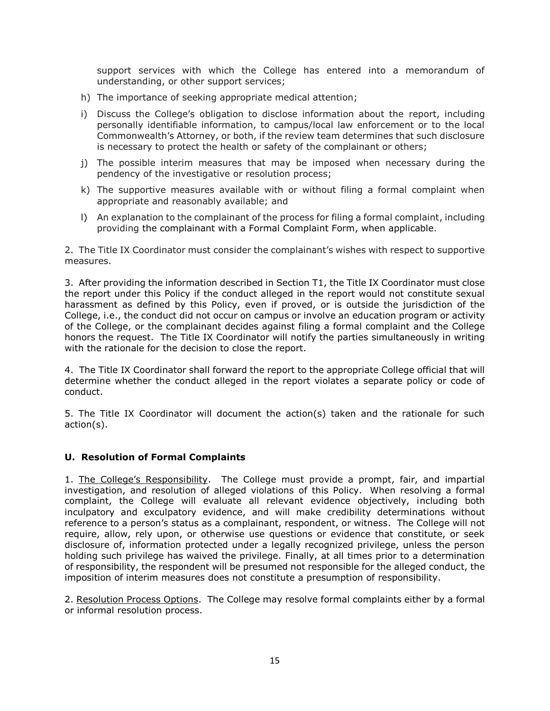support services with which the College has entered into a memorandum of understanding, or other support services;

- h) The importance of seeking appropriate medical attention;
- i) Discuss the College's obligation to disclose information about the report, including personally identifiable information, to campus/local law enforcement or to the local Commonwealth's Attorney, or both, if the review team determines that such disclosure is necessary to protect the health or safety of the complainant or others;
- j) The possible interim measures that may be imposed when necessary during the pendency of the investigative or resolution process;
- k) The supportive measures available with or without filing a formal complaint when appropriate and reasonably available; and
- l) An explanation to the complainant of the process for filing a formal complaint, including providing the complainant with a Formal Complaint Form, when applicable.

2. The Title IX Coordinator must consider the complainant's wishes with respect to supportive measures.

3. After providing the information described in Section T1, the Title IX Coordinator must close the report under this Policy if the conduct alleged in the report would not constitute sexual harassment as defined by this Policy, even if proved, or is outside the jurisdiction of the College, i.e., the conduct did not occur on campus or involve an education program or activity of the College, or the complainant decides against filing a formal complaint and the College honors the request. The Title IX Coordinator will notify the parties simultaneously in writing with the rationale for the decision to close the report.

4. The Title IX Coordinator shall forward the report to the appropriate College official that will determine whether the conduct alleged in the report violates a separate policy or code of conduct.

5. The Title IX Coordinator will document the action(s) taken and the rationale for such action(s).

# **U. Resolution of Formal Complaints**

1. The College's Responsibility. The College must provide a prompt, fair, and impartial investigation, and resolution of alleged violations of this Policy. When resolving a formal complaint, the College will evaluate all relevant evidence objectively, including both inculpatory and exculpatory evidence, and will make credibility determinations without reference to a person's status as a complainant, respondent, or witness. The College will not require, allow, rely upon, or otherwise use questions or evidence that constitute, or seek disclosure of, information protected under a legally recognized privilege, unless the person holding such privilege has waived the privilege. Finally, at all times prior to a determination of responsibility, the respondent will be presumed not responsible for the alleged conduct, the imposition of interim measures does not constitute a presumption of responsibility.

2. Resolution Process Options. The College may resolve formal complaints either by a formal or informal resolution process.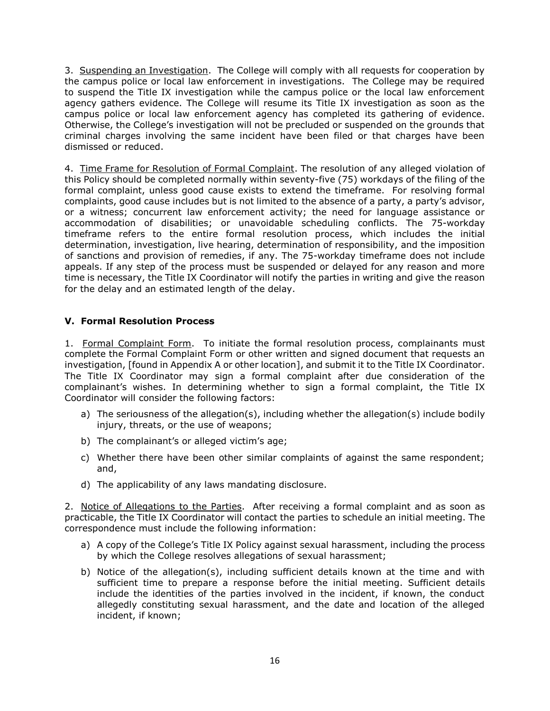3. Suspending an Investigation. The College will comply with all requests for cooperation by the campus police or local law enforcement in investigations. The College may be required to suspend the Title IX investigation while the campus police or the local law enforcement agency gathers evidence. The College will resume its Title IX investigation as soon as the campus police or local law enforcement agency has completed its gathering of evidence. Otherwise, the College's investigation will not be precluded or suspended on the grounds that criminal charges involving the same incident have been filed or that charges have been dismissed or reduced.

4. Time Frame for Resolution of Formal Complaint. The resolution of any alleged violation of this Policy should be completed normally within seventy-five (75) workdays of the filing of the formal complaint, unless good cause exists to extend the timeframe. For resolving formal complaints, good cause includes but is not limited to the absence of a party, a party's advisor, or a witness; concurrent law enforcement activity; the need for language assistance or accommodation of disabilities; or unavoidable scheduling conflicts. The 75-workday timeframe refers to the entire formal resolution process, which includes the initial determination, investigation, live hearing, determination of responsibility, and the imposition of sanctions and provision of remedies, if any. The 75-workday timeframe does not include appeals. If any step of the process must be suspended or delayed for any reason and more time is necessary, the Title IX Coordinator will notify the parties in writing and give the reason for the delay and an estimated length of the delay.

# **V. Formal Resolution Process**

1. Formal Complaint Form. To initiate the formal resolution process, complainants must complete the Formal Complaint Form or other written and signed document that requests an investigation, [found in Appendix A or other location], and submit it to the Title IX Coordinator. The Title IX Coordinator may sign a formal complaint after due consideration of the complainant's wishes. In determining whether to sign a formal complaint, the Title IX Coordinator will consider the following factors:

- a) The seriousness of the allegation(s), including whether the allegation(s) include bodily injury, threats, or the use of weapons;
- b) The complainant's or alleged victim's age;
- c) Whether there have been other similar complaints of against the same respondent; and,
- d) The applicability of any laws mandating disclosure.

2. Notice of Allegations to the Parties.After receiving a formal complaint and as soon as practicable, the Title IX Coordinator will contact the parties to schedule an initial meeting. The correspondence must include the following information:

- a) A copy of the College's Title IX Policy against sexual harassment, including the process by which the College resolves allegations of sexual harassment;
- b) Notice of the allegation(s), including sufficient details known at the time and with sufficient time to prepare a response before the initial meeting. Sufficient details include the identities of the parties involved in the incident, if known, the conduct allegedly constituting sexual harassment, and the date and location of the alleged incident, if known;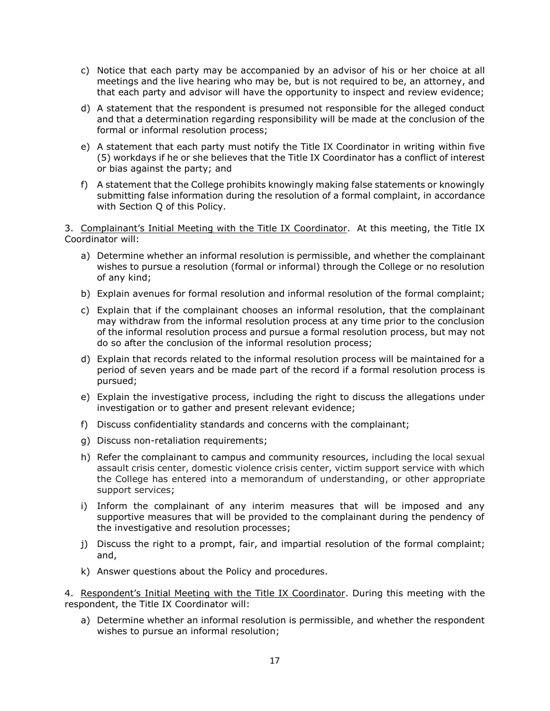- c) Notice that each party may be accompanied by an advisor of his or her choice at all meetings and the live hearing who may be, but is not required to be, an attorney, and that each party and advisor will have the opportunity to inspect and review evidence;
- d) A statement that the respondent is presumed not responsible for the alleged conduct and that a determination regarding responsibility will be made at the conclusion of the formal or informal resolution process;
- e) A statement that each party must notify the Title IX Coordinator in writing within five (5) workdays if he or she believes that the Title IX Coordinator has a conflict of interest or bias against the party; and
- f) A statement that the College prohibits knowingly making false statements or knowingly submitting false information during the resolution of a formal complaint, in accordance with Section Q of this Policy.

3. Complainant's Initial Meeting with the Title IX Coordinator. At this meeting, the Title IX Coordinator will:

- a) Determine whether an informal resolution is permissible, and whether the complainant wishes to pursue a resolution (formal or informal) through the College or no resolution of any kind;
- b) Explain avenues for formal resolution and informal resolution of the formal complaint;
- c) Explain that if the complainant chooses an informal resolution, that the complainant may withdraw from the informal resolution process at any time prior to the conclusion of the informal resolution process and pursue a formal resolution process, but may not do so after the conclusion of the informal resolution process;
- d) Explain that records related to the informal resolution process will be maintained for a period of seven years and be made part of the record if a formal resolution process is pursued;
- e) Explain the investigative process, including the right to discuss the allegations under investigation or to gather and present relevant evidence;
- f) Discuss confidentiality standards and concerns with the complainant;
- g) Discuss non-retaliation requirements;
- h) Refer the complainant to campus and community resources, including the local sexual assault crisis center, domestic violence crisis center, victim support service with which the College has entered into a memorandum of understanding, or other appropriate support services;
- i) Inform the complainant of any interim measures that will be imposed and any supportive measures that will be provided to the complainant during the pendency of the investigative and resolution processes;
- j) Discuss the right to a prompt, fair, and impartial resolution of the formal complaint; and,
- k) Answer questions about the Policy and procedures.

4. Respondent's Initial Meeting with the Title IX Coordinator. During this meeting with the respondent, the Title IX Coordinator will:

a) Determine whether an informal resolution is permissible, and whether the respondent wishes to pursue an informal resolution;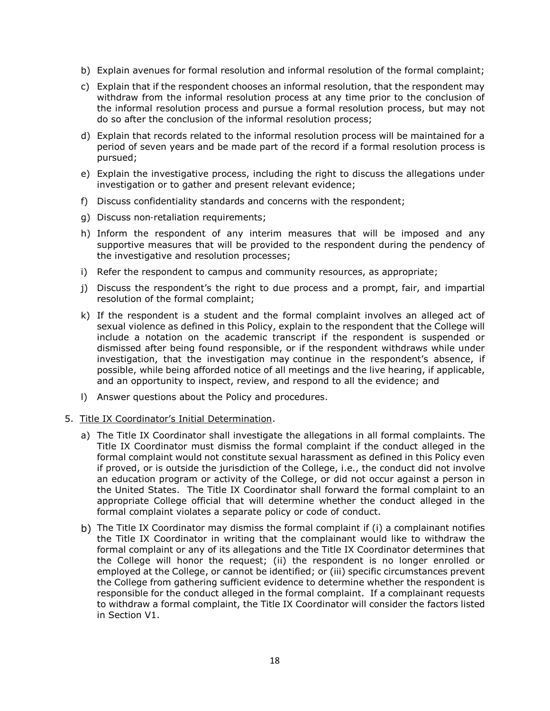- b) Explain avenues for formal resolution and informal resolution of the formal complaint;
- c) Explain that if the respondent chooses an informal resolution, that the respondent may withdraw from the informal resolution process at any time prior to the conclusion of the informal resolution process and pursue a formal resolution process, but may not do so after the conclusion of the informal resolution process;
- d) Explain that records related to the informal resolution process will be maintained for a period of seven years and be made part of the record if a formal resolution process is pursued;
- e) Explain the investigative process, including the right to discuss the allegations under investigation or to gather and present relevant evidence;
- f) Discuss confidentiality standards and concerns with the respondent;
- g) Discuss non‐retaliation requirements;
- h) Inform the respondent of any interim measures that will be imposed and any supportive measures that will be provided to the respondent during the pendency of the investigative and resolution processes;
- i) Refer the respondent to campus and community resources, as appropriate;
- j) Discuss the respondent's the right to due process and a prompt, fair, and impartial resolution of the formal complaint;
- k) If the respondent is a student and the formal complaint involves an alleged act of sexual violence as defined in this Policy, explain to the respondent that the College will include a notation on the academic transcript if the respondent is suspended or dismissed after being found responsible, or if the respondent withdraws while under investigation, that the investigation may continue in the respondent's absence, if possible, while being afforded notice of all meetings and the live hearing, if applicable, and an opportunity to inspect, review, and respond to all the evidence; and
- l) Answer questions about the Policy and procedures.

#### 5. Title IX Coordinator's Initial Determination.

- a) The Title IX Coordinator shall investigate the allegations in all formal complaints. The Title IX Coordinator must dismiss the formal complaint if the conduct alleged in the formal complaint would not constitute sexual harassment as defined in this Policy even if proved, or is outside the jurisdiction of the College, i.e., the conduct did not involve an education program or activity of the College, or did not occur against a person in the United States. The Title IX Coordinator shall forward the formal complaint to an appropriate College official that will determine whether the conduct alleged in the formal complaint violates a separate policy or code of conduct.
- b) The Title IX Coordinator may dismiss the formal complaint if (i) a complainant notifies the Title IX Coordinator in writing that the complainant would like to withdraw the formal complaint or any of its allegations and the Title IX Coordinator determines that the College will honor the request; (ii) the respondent is no longer enrolled or employed at the College, or cannot be identified; or (iii) specific circumstances prevent the College from gathering sufficient evidence to determine whether the respondent is responsible for the conduct alleged in the formal complaint. If a complainant requests to withdraw a formal complaint, the Title IX Coordinator will consider the factors listed in Section V1.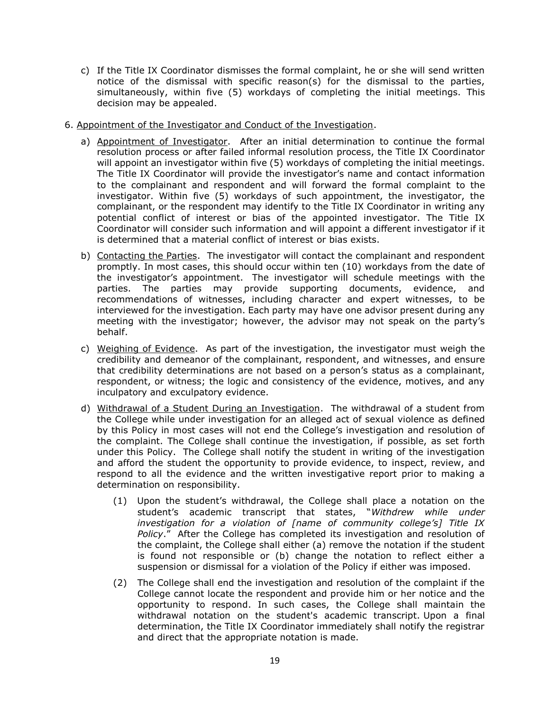- c) If the Title IX Coordinator dismisses the formal complaint, he or she will send written notice of the dismissal with specific reason(s) for the dismissal to the parties, simultaneously, within five (5) workdays of completing the initial meetings. This decision may be appealed.
- 6. Appointment of the Investigator and Conduct of the Investigation.
	- a) Appointment of Investigator. After an initial determination to continue the formal resolution process or after failed informal resolution process, the Title IX Coordinator will appoint an investigator within five (5) workdays of completing the initial meetings. The Title IX Coordinator will provide the investigator's name and contact information to the complainant and respondent and will forward the formal complaint to the investigator. Within five (5) workdays of such appointment, the investigator, the complainant, or the respondent may identify to the Title IX Coordinator in writing any potential conflict of interest or bias of the appointed investigator. The Title IX Coordinator will consider such information and will appoint a different investigator if it is determined that a material conflict of interest or bias exists.
	- b) Contacting the Parties. The investigator will contact the complainant and respondent promptly. In most cases, this should occur within ten (10) workdays from the date of the investigator's appointment. The investigator will schedule meetings with the parties. The parties may provide supporting documents, evidence, and recommendations of witnesses, including character and expert witnesses, to be interviewed for the investigation. Each party may have one advisor present during any meeting with the investigator; however, the advisor may not speak on the party's behalf.
	- c) Weighing of Evidence. As part of the investigation, the investigator must weigh the credibility and demeanor of the complainant, respondent, and witnesses, and ensure that credibility determinations are not based on a person's status as a complainant, respondent, or witness; the logic and consistency of the evidence, motives, and any inculpatory and exculpatory evidence.
	- d) Withdrawal of a Student During an Investigation. The withdrawal of a student from the College while under investigation for an alleged act of sexual violence as defined by this Policy in most cases will not end the College's investigation and resolution of the complaint. The College shall continue the investigation, if possible, as set forth under this Policy. The College shall notify the student in writing of the investigation and afford the student the opportunity to provide evidence, to inspect, review, and respond to all the evidence and the written investigative report prior to making a determination on responsibility.
		- (1) Upon the student's withdrawal, the College shall place a notation on the student's academic transcript that states, "*Withdrew while under investigation for a violation of [name of community college's] Title IX Policy*." After the College has completed its investigation and resolution of the complaint, the College shall either (a) remove the notation if the student is found not responsible or (b) change the notation to reflect either a suspension or dismissal for a violation of the Policy if either was imposed.
		- (2) The College shall end the investigation and resolution of the complaint if the College cannot locate the respondent and provide him or her notice and the opportunity to respond. In such cases, the College shall maintain the withdrawal notation on the student's academic transcript. Upon a final determination, the Title IX Coordinator immediately shall notify the registrar and direct that the appropriate notation is made.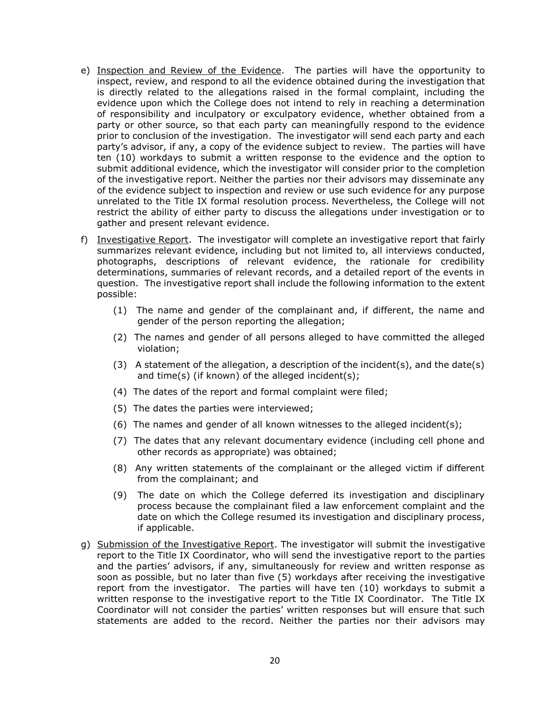- e) Inspection and Review of the Evidence. The parties will have the opportunity to inspect, review, and respond to all the evidence obtained during the investigation that is directly related to the allegations raised in the formal complaint, including the evidence upon which the College does not intend to rely in reaching a determination of responsibility and inculpatory or exculpatory evidence, whether obtained from a party or other source, so that each party can meaningfully respond to the evidence prior to conclusion of the investigation. The investigator will send each party and each party's advisor, if any, a copy of the evidence subject to review. The parties will have ten (10) workdays to submit a written response to the evidence and the option to submit additional evidence, which the investigator will consider prior to the completion of the investigative report. Neither the parties nor their advisors may disseminate any of the evidence subject to inspection and review or use such evidence for any purpose unrelated to the Title IX formal resolution process. Nevertheless, the College will not restrict the ability of either party to discuss the allegations under investigation or to gather and present relevant evidence.
- f) Investigative Report. The investigator will complete an investigative report that fairly summarizes relevant evidence, including but not limited to, all interviews conducted, photographs, descriptions of relevant evidence, the rationale for credibility determinations, summaries of relevant records, and a detailed report of the events in question. The investigative report shall include the following information to the extent possible:
	- (1) The name and gender of the complainant and, if different, the name and gender of the person reporting the allegation;
	- (2) The names and gender of all persons alleged to have committed the alleged violation;
	- (3) A statement of the allegation, a description of the incident(s), and the date(s) and time(s) (if known) of the alleged incident(s);
	- (4) The dates of the report and formal complaint were filed;
	- (5) The dates the parties were interviewed;
	- (6) The names and gender of all known witnesses to the alleged incident(s);
	- (7) The dates that any relevant documentary evidence (including cell phone and other records as appropriate) was obtained;
	- (8) Any written statements of the complainant or the alleged victim if different from the complainant; and
	- (9) The date on which the College deferred its investigation and disciplinary process because the complainant filed a law enforcement complaint and the date on which the College resumed its investigation and disciplinary process, if applicable.
- g) Submission of the Investigative Report. The investigator will submit the investigative report to the Title IX Coordinator, who will send the investigative report to the parties and the parties' advisors, if any, simultaneously for review and written response as soon as possible, but no later than five (5) workdays after receiving the investigative report from the investigator. The parties will have ten (10) workdays to submit a written response to the investigative report to the Title IX Coordinator. The Title IX Coordinator will not consider the parties' written responses but will ensure that such statements are added to the record. Neither the parties nor their advisors may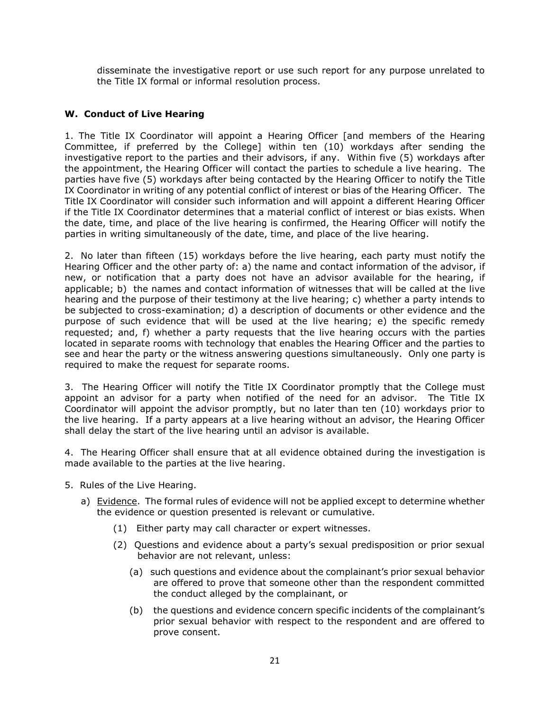disseminate the investigative report or use such report for any purpose unrelated to the Title IX formal or informal resolution process.

# **W. Conduct of Live Hearing**

1. The Title IX Coordinator will appoint a Hearing Officer [and members of the Hearing Committee, if preferred by the College] within ten (10) workdays after sending the investigative report to the parties and their advisors, if any. Within five (5) workdays after the appointment, the Hearing Officer will contact the parties to schedule a live hearing. The parties have five (5) workdays after being contacted by the Hearing Officer to notify the Title IX Coordinator in writing of any potential conflict of interest or bias of the Hearing Officer. The Title IX Coordinator will consider such information and will appoint a different Hearing Officer if the Title IX Coordinator determines that a material conflict of interest or bias exists. When the date, time, and place of the live hearing is confirmed, the Hearing Officer will notify the parties in writing simultaneously of the date, time, and place of the live hearing.

2. No later than fifteen (15) workdays before the live hearing, each party must notify the Hearing Officer and the other party of: a) the name and contact information of the advisor, if new, or notification that a party does not have an advisor available for the hearing, if applicable; b) the names and contact information of witnesses that will be called at the live hearing and the purpose of their testimony at the live hearing; c) whether a party intends to be subjected to cross-examination; d) a description of documents or other evidence and the purpose of such evidence that will be used at the live hearing; e) the specific remedy requested; and, f) whether a party requests that the live hearing occurs with the parties located in separate rooms with technology that enables the Hearing Officer and the parties to see and hear the party or the witness answering questions simultaneously. Only one party is required to make the request for separate rooms.

3. The Hearing Officer will notify the Title IX Coordinator promptly that the College must appoint an advisor for a party when notified of the need for an advisor. The Title IX Coordinator will appoint the advisor promptly, but no later than ten (10) workdays prior to the live hearing. If a party appears at a live hearing without an advisor, the Hearing Officer shall delay the start of the live hearing until an advisor is available.

4. The Hearing Officer shall ensure that at all evidence obtained during the investigation is made available to the parties at the live hearing.

- 5. Rules of the Live Hearing.
	- a) Evidence. The formal rules of evidence will not be applied except to determine whether the evidence or question presented is relevant or cumulative.
		- (1) Either party may call character or expert witnesses.
		- (2) Questions and evidence about a party's sexual predisposition or prior sexual behavior are not relevant, unless:
			- (a) such questions and evidence about the complainant's prior sexual behavior are offered to prove that someone other than the respondent committed the conduct alleged by the complainant, or
			- (b) the questions and evidence concern specific incidents of the complainant's prior sexual behavior with respect to the respondent and are offered to prove consent.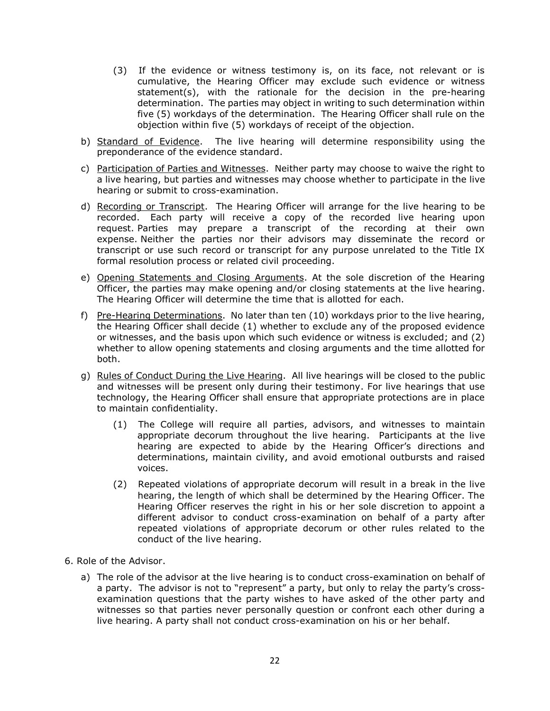- (3) If the evidence or witness testimony is, on its face, not relevant or is cumulative, the Hearing Officer may exclude such evidence or witness statement(s), with the rationale for the decision in the pre-hearing determination. The parties may object in writing to such determination within five (5) workdays of the determination. The Hearing Officer shall rule on the objection within five (5) workdays of receipt of the objection.
- b) Standard of Evidence.The live hearing will determine responsibility using the preponderance of the evidence standard.
- c) Participation of Parties and Witnesses. Neither party may choose to waive the right to a live hearing, but parties and witnesses may choose whether to participate in the live hearing or submit to cross-examination.
- d) Recording or Transcript. The Hearing Officer will arrange for the live hearing to be recorded. Each party will receive a copy of the recorded live hearing upon request. Parties may prepare a transcript of the recording at their own expense. Neither the parties nor their advisors may disseminate the record or transcript or use such record or transcript for any purpose unrelated to the Title IX formal resolution process or related civil proceeding.
- e) Opening Statements and Closing Arguments. At the sole discretion of the Hearing Officer, the parties may make opening and/or closing statements at the live hearing. The Hearing Officer will determine the time that is allotted for each.
- f) Pre-Hearing Determinations. No later than ten (10) workdays prior to the live hearing, the Hearing Officer shall decide (1) whether to exclude any of the proposed evidence or witnesses, and the basis upon which such evidence or witness is excluded; and (2) whether to allow opening statements and closing arguments and the time allotted for both.
- g) Rules of Conduct During the Live Hearing. All live hearings will be closed to the public and witnesses will be present only during their testimony. For live hearings that use technology, the Hearing Officer shall ensure that appropriate protections are in place to maintain confidentiality.
	- (1) The College will require all parties, advisors, and witnesses to maintain appropriate decorum throughout the live hearing. Participants at the live hearing are expected to abide by the Hearing Officer's directions and determinations, maintain civility, and avoid emotional outbursts and raised voices.
	- (2) Repeated violations of appropriate decorum will result in a break in the live hearing, the length of which shall be determined by the Hearing Officer. The Hearing Officer reserves the right in his or her sole discretion to appoint a different advisor to conduct cross-examination on behalf of a party after repeated violations of appropriate decorum or other rules related to the conduct of the live hearing.
- 6. Role of the Advisor.
	- a) The role of the advisor at the live hearing is to conduct cross-examination on behalf of a party. The advisor is not to "represent" a party, but only to relay the party's crossexamination questions that the party wishes to have asked of the other party and witnesses so that parties never personally question or confront each other during a live hearing. A party shall not conduct cross-examination on his or her behalf.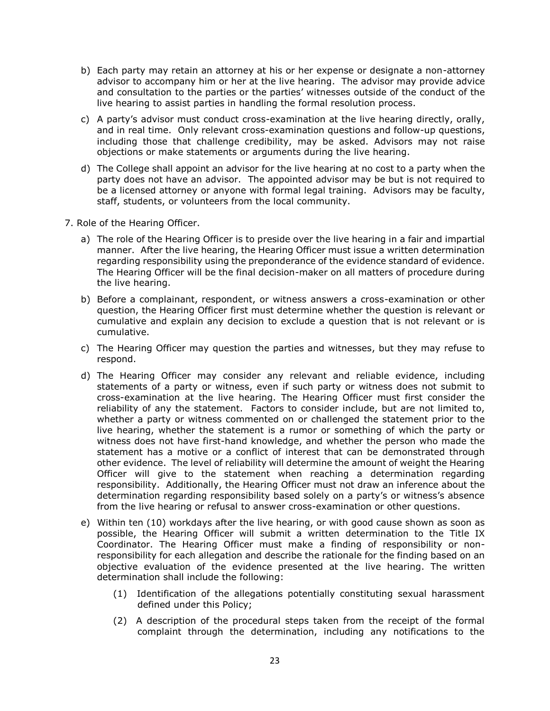- b) Each party may retain an attorney at his or her expense or designate a non-attorney advisor to accompany him or her at the live hearing. The advisor may provide advice and consultation to the parties or the parties' witnesses outside of the conduct of the live hearing to assist parties in handling the formal resolution process.
- c) A party's advisor must conduct cross-examination at the live hearing directly, orally, and in real time. Only relevant cross-examination questions and follow-up questions, including those that challenge credibility, may be asked. Advisors may not raise objections or make statements or arguments during the live hearing.
- d) The College shall appoint an advisor for the live hearing at no cost to a party when the party does not have an advisor. The appointed advisor may be but is not required to be a licensed attorney or anyone with formal legal training. Advisors may be faculty, staff, students, or volunteers from the local community.
- 7. Role of the Hearing Officer.
	- a) The role of the Hearing Officer is to preside over the live hearing in a fair and impartial manner. After the live hearing, the Hearing Officer must issue a written determination regarding responsibility using the preponderance of the evidence standard of evidence. The Hearing Officer will be the final decision-maker on all matters of procedure during the live hearing.
	- b) Before a complainant, respondent, or witness answers a cross-examination or other question, the Hearing Officer first must determine whether the question is relevant or cumulative and explain any decision to exclude a question that is not relevant or is cumulative.
	- c) The Hearing Officer may question the parties and witnesses, but they may refuse to respond.
	- d) The Hearing Officer may consider any relevant and reliable evidence, including statements of a party or witness, even if such party or witness does not submit to cross-examination at the live hearing. The Hearing Officer must first consider the reliability of any the statement. Factors to consider include, but are not limited to, whether a party or witness commented on or challenged the statement prior to the live hearing, whether the statement is a rumor or something of which the party or witness does not have first-hand knowledge, and whether the person who made the statement has a motive or a conflict of interest that can be demonstrated through other evidence. The level of reliability will determine the amount of weight the Hearing Officer will give to the statement when reaching a determination regarding responsibility. Additionally, the Hearing Officer must not draw an inference about the determination regarding responsibility based solely on a party's or witness's absence from the live hearing or refusal to answer cross-examination or other questions.
	- e) Within ten (10) workdays after the live hearing, or with good cause shown as soon as possible, the Hearing Officer will submit a written determination to the Title IX Coordinator. The Hearing Officer must make a finding of responsibility or nonresponsibility for each allegation and describe the rationale for the finding based on an objective evaluation of the evidence presented at the live hearing. The written determination shall include the following:
		- (1) Identification of the allegations potentially constituting sexual harassment defined under this Policy;
		- (2) A description of the procedural steps taken from the receipt of the formal complaint through the determination, including any notifications to the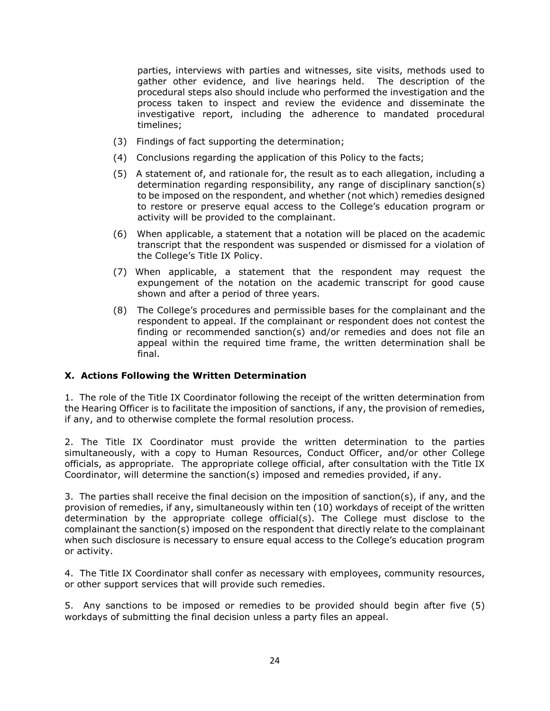parties, interviews with parties and witnesses, site visits, methods used to gather other evidence, and live hearings held. The description of the procedural steps also should include who performed the investigation and the process taken to inspect and review the evidence and disseminate the investigative report, including the adherence to mandated procedural timelines;

- (3) Findings of fact supporting the determination;
- (4) Conclusions regarding the application of this Policy to the facts;
- (5) A statement of, and rationale for, the result as to each allegation, including a determination regarding responsibility, any range of disciplinary sanction(s) to be imposed on the respondent, and whether (not which) remedies designed to restore or preserve equal access to the College's education program or activity will be provided to the complainant.
- (6) When applicable, a statement that a notation will be placed on the academic transcript that the respondent was suspended or dismissed for a violation of the College's Title IX Policy.
- (7) When applicable, a statement that the respondent may request the expungement of the notation on the academic transcript for good cause shown and after a period of three years.
- (8) The College's procedures and permissible bases for the complainant and the respondent to appeal. If the complainant or respondent does not contest the finding or recommended sanction(s) and/or remedies and does not file an appeal within the required time frame, the written determination shall be final.

#### **X. Actions Following the Written Determination**

1. The role of the Title IX Coordinator following the receipt of the written determination from the Hearing Officer is to facilitate the imposition of sanctions, if any, the provision of remedies, if any, and to otherwise complete the formal resolution process.

2. The Title IX Coordinator must provide the written determination to the parties simultaneously, with a copy to Human Resources, Conduct Officer, and/or other College officials, as appropriate. The appropriate college official, after consultation with the Title IX Coordinator, will determine the sanction(s) imposed and remedies provided, if any.

3. The parties shall receive the final decision on the imposition of sanction(s), if any, and the provision of remedies, if any, simultaneously within ten (10) workdays of receipt of the written determination by the appropriate college official(s). The College must disclose to the complainant the sanction(s) imposed on the respondent that directly relate to the complainant when such disclosure is necessary to ensure equal access to the College's education program or activity.

4. The Title IX Coordinator shall confer as necessary with employees, community resources, or other support services that will provide such remedies.

5. Any sanctions to be imposed or remedies to be provided should begin after five (5) workdays of submitting the final decision unless a party files an appeal.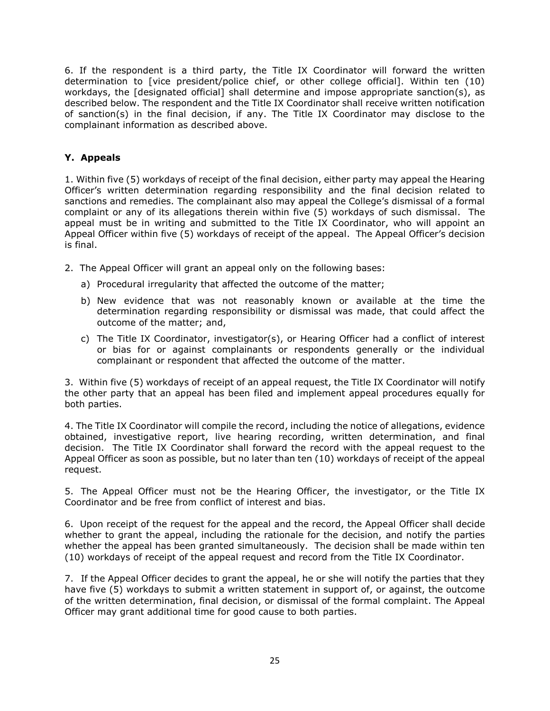6. If the respondent is a third party, the Title IX Coordinator will forward the written determination to [vice president/police chief, or other college official]. Within ten (10) workdays, the [designated official] shall determine and impose appropriate sanction(s), as described below. The respondent and the Title IX Coordinator shall receive written notification of sanction(s) in the final decision, if any. The Title IX Coordinator may disclose to the complainant information as described above.

# **Y. Appeals**

1. Within five (5) workdays of receipt of the final decision, either party may appeal the Hearing Officer's written determination regarding responsibility and the final decision related to sanctions and remedies. The complainant also may appeal the College's dismissal of a formal complaint or any of its allegations therein within five (5) workdays of such dismissal. The appeal must be in writing and submitted to the Title IX Coordinator, who will appoint an Appeal Officer within five (5) workdays of receipt of the appeal. The Appeal Officer's decision is final.

- 2. The Appeal Officer will grant an appeal only on the following bases:
	- a) Procedural irregularity that affected the outcome of the matter;
	- b) New evidence that was not reasonably known or available at the time the determination regarding responsibility or dismissal was made, that could affect the outcome of the matter; and,
	- c) The Title IX Coordinator, investigator(s), or Hearing Officer had a conflict of interest or bias for or against complainants or respondents generally or the individual complainant or respondent that affected the outcome of the matter.

3. Within five (5) workdays of receipt of an appeal request, the Title IX Coordinator will notify the other party that an appeal has been filed and implement appeal procedures equally for both parties.

4. The Title IX Coordinator will compile the record, including the notice of allegations, evidence obtained, investigative report, live hearing recording, written determination, and final decision. The Title IX Coordinator shall forward the record with the appeal request to the Appeal Officer as soon as possible, but no later than ten (10) workdays of receipt of the appeal request.

5. The Appeal Officer must not be the Hearing Officer, the investigator, or the Title IX Coordinator and be free from conflict of interest and bias.

6. Upon receipt of the request for the appeal and the record, the Appeal Officer shall decide whether to grant the appeal, including the rationale for the decision, and notify the parties whether the appeal has been granted simultaneously. The decision shall be made within ten (10) workdays of receipt of the appeal request and record from the Title IX Coordinator.

7. If the Appeal Officer decides to grant the appeal, he or she will notify the parties that they have five (5) workdays to submit a written statement in support of, or against, the outcome of the written determination, final decision, or dismissal of the formal complaint. The Appeal Officer may grant additional time for good cause to both parties.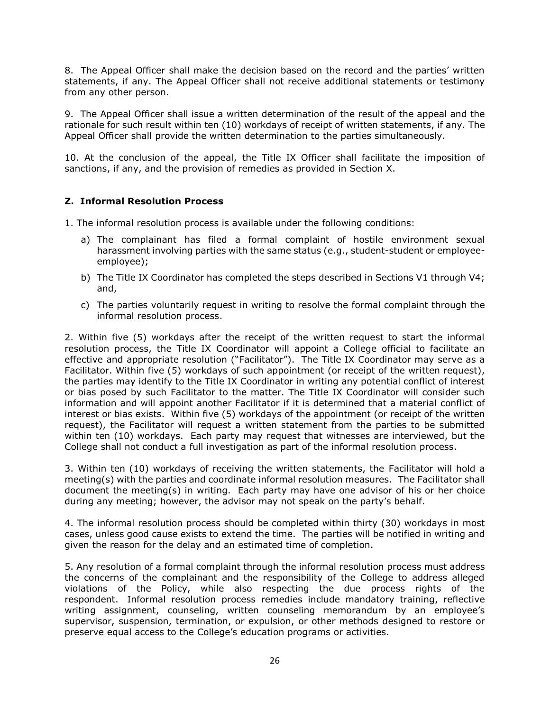8. The Appeal Officer shall make the decision based on the record and the parties' written statements, if any. The Appeal Officer shall not receive additional statements or testimony from any other person.

9. The Appeal Officer shall issue a written determination of the result of the appeal and the rationale for such result within ten (10) workdays of receipt of written statements, if any. The Appeal Officer shall provide the written determination to the parties simultaneously.

10. At the conclusion of the appeal, the Title IX Officer shall facilitate the imposition of sanctions, if any, and the provision of remedies as provided in Section X.

### **Z. Informal Resolution Process**

- 1. The informal resolution process is available under the following conditions:
	- a) The complainant has filed a formal complaint of hostile environment sexual harassment involving parties with the same status (e.g., student-student or employeeemployee);
	- b) The Title IX Coordinator has completed the steps described in Sections V1 through V4; and,
	- c) The parties voluntarily request in writing to resolve the formal complaint through the informal resolution process.

2. Within five (5) workdays after the receipt of the written request to start the informal resolution process, the Title IX Coordinator will appoint a College official to facilitate an effective and appropriate resolution ("Facilitator"). The Title IX Coordinator may serve as a Facilitator. Within five (5) workdays of such appointment (or receipt of the written request), the parties may identify to the Title IX Coordinator in writing any potential conflict of interest or bias posed by such Facilitator to the matter. The Title IX Coordinator will consider such information and will appoint another Facilitator if it is determined that a material conflict of interest or bias exists. Within five (5) workdays of the appointment (or receipt of the written request), the Facilitator will request a written statement from the parties to be submitted within ten (10) workdays. Each party may request that witnesses are interviewed, but the College shall not conduct a full investigation as part of the informal resolution process.

3. Within ten (10) workdays of receiving the written statements, the Facilitator will hold a meeting(s) with the parties and coordinate informal resolution measures. The Facilitator shall document the meeting(s) in writing. Each party may have one advisor of his or her choice during any meeting; however, the advisor may not speak on the party's behalf.

4. The informal resolution process should be completed within thirty (30) workdays in most cases, unless good cause exists to extend the time. The parties will be notified in writing and given the reason for the delay and an estimated time of completion.

5. Any resolution of a formal complaint through the informal resolution process must address the concerns of the complainant and the responsibility of the College to address alleged violations of the Policy, while also respecting the due process rights of the respondent. Informal resolution process remedies include mandatory training, reflective writing assignment, counseling, written counseling memorandum by an employee's supervisor, suspension, termination, or expulsion, or other methods designed to restore or preserve equal access to the College's education programs or activities.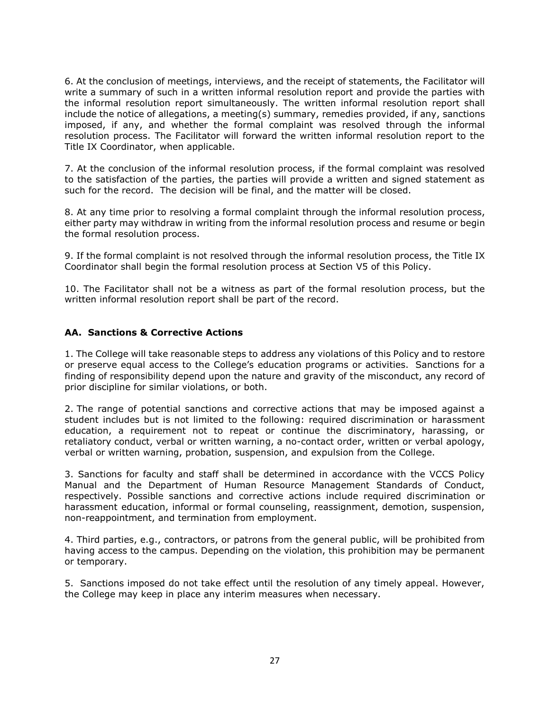6. At the conclusion of meetings, interviews, and the receipt of statements, the Facilitator will write a summary of such in a written informal resolution report and provide the parties with the informal resolution report simultaneously. The written informal resolution report shall include the notice of allegations, a meeting(s) summary, remedies provided, if any, sanctions imposed, if any, and whether the formal complaint was resolved through the informal resolution process. The Facilitator will forward the written informal resolution report to the Title IX Coordinator, when applicable.

7. At the conclusion of the informal resolution process, if the formal complaint was resolved to the satisfaction of the parties, the parties will provide a written and signed statement as such for the record. The decision will be final, and the matter will be closed.

8. At any time prior to resolving a formal complaint through the informal resolution process, either party may withdraw in writing from the informal resolution process and resume or begin the formal resolution process.

9. If the formal complaint is not resolved through the informal resolution process, the Title IX Coordinator shall begin the formal resolution process at Section V5 of this Policy.

10. The Facilitator shall not be a witness as part of the formal resolution process, but the written informal resolution report shall be part of the record.

### **AA. Sanctions & Corrective Actions**

1. The College will take reasonable steps to address any violations of this Policy and to restore or preserve equal access to the College's education programs or activities. Sanctions for a finding of responsibility depend upon the nature and gravity of the misconduct, any record of prior discipline for similar violations, or both.

2. The range of potential sanctions and corrective actions that may be imposed against a student includes but is not limited to the following: required discrimination or harassment education, a requirement not to repeat or continue the discriminatory, harassing, or retaliatory conduct, verbal or written warning, a no-contact order, written or verbal apology, verbal or written warning, probation, suspension, and expulsion from the College.

3. Sanctions for faculty and staff shall be determined in accordance with the VCCS Policy Manual and the Department of Human Resource Management Standards of Conduct, respectively. Possible sanctions and corrective actions include required discrimination or harassment education, informal or formal counseling, reassignment, demotion, suspension, non-reappointment, and termination from employment.

4. Third parties, e.g., contractors, or patrons from the general public, will be prohibited from having access to the campus. Depending on the violation, this prohibition may be permanent or temporary.

5. Sanctions imposed do not take effect until the resolution of any timely appeal. However, the College may keep in place any interim measures when necessary.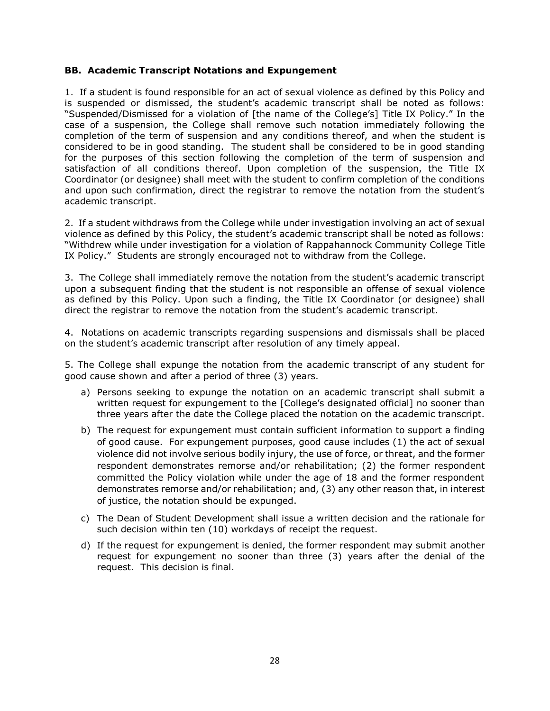#### **BB. Academic Transcript Notations and Expungement**

1. If a student is found responsible for an act of sexual violence as defined by this Policy and is suspended or dismissed, the student's academic transcript shall be noted as follows: "Suspended/Dismissed for a violation of [the name of the College's] Title IX Policy." In the case of a suspension, the College shall remove such notation immediately following the completion of the term of suspension and any conditions thereof, and when the student is considered to be in good standing. The student shall be considered to be in good standing for the purposes of this section following the completion of the term of suspension and satisfaction of all conditions thereof. Upon completion of the suspension, the Title IX Coordinator (or designee) shall meet with the student to confirm completion of the conditions and upon such confirmation, direct the registrar to remove the notation from the student's academic transcript.

2. If a student withdraws from the College while under investigation involving an act of sexual violence as defined by this Policy, the student's academic transcript shall be noted as follows: "Withdrew while under investigation for a violation of Rappahannock Community College Title IX Policy." Students are strongly encouraged not to withdraw from the College.

3. The College shall immediately remove the notation from the student's academic transcript upon a subsequent finding that the student is not responsible an offense of sexual violence as defined by this Policy. Upon such a finding, the Title IX Coordinator (or designee) shall direct the registrar to remove the notation from the student's academic transcript.

4. Notations on academic transcripts regarding suspensions and dismissals shall be placed on the student's academic transcript after resolution of any timely appeal.

5. The College shall expunge the notation from the academic transcript of any student for good cause shown and after a period of three (3) years.

- a) Persons seeking to expunge the notation on an academic transcript shall submit a written request for expungement to the [College's designated official] no sooner than three years after the date the College placed the notation on the academic transcript.
- b) The request for expungement must contain sufficient information to support a finding of good cause. For expungement purposes, good cause includes (1) the act of sexual violence did not involve serious bodily injury, the use of force, or threat, and the former respondent demonstrates remorse and/or rehabilitation; (2) the former respondent committed the Policy violation while under the age of 18 and the former respondent demonstrates remorse and/or rehabilitation; and, (3) any other reason that, in interest of justice, the notation should be expunged.
- c) The Dean of Student Development shall issue a written decision and the rationale for such decision within ten (10) workdays of receipt the request.
- d) If the request for expungement is denied, the former respondent may submit another request for expungement no sooner than three (3) years after the denial of the request. This decision is final.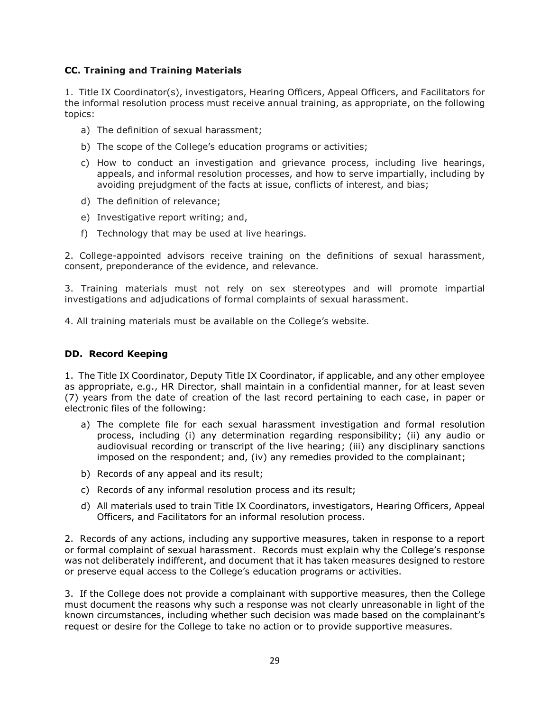### **CC. Training and Training Materials**

1. Title IX Coordinator(s), investigators, Hearing Officers, Appeal Officers, and Facilitators for the informal resolution process must receive annual training, as appropriate, on the following topics:

- a) The definition of sexual harassment;
- b) The scope of the College's education programs or activities;
- c) How to conduct an investigation and grievance process, including live hearings, appeals, and informal resolution processes, and how to serve impartially, including by avoiding prejudgment of the facts at issue, conflicts of interest, and bias;
- d) The definition of relevance;
- e) Investigative report writing; and,
- f) Technology that may be used at live hearings.

2. College-appointed advisors receive training on the definitions of sexual harassment, consent, preponderance of the evidence, and relevance.

3. Training materials must not rely on sex stereotypes and will promote impartial investigations and adjudications of formal complaints of sexual harassment.

4. All training materials must be available on the College's website.

### **DD. Record Keeping**

1. The Title IX Coordinator, Deputy Title IX Coordinator, if applicable, and any other employee as appropriate, e.g., HR Director, shall maintain in a confidential manner, for at least seven (7) years from the date of creation of the last record pertaining to each case, in paper or electronic files of the following:

- a) The complete file for each sexual harassment investigation and formal resolution process, including (i) any determination regarding responsibility; (ii) any audio or audiovisual recording or transcript of the live hearing; (iii) any disciplinary sanctions imposed on the respondent; and, (iv) any remedies provided to the complainant;
- b) Records of any appeal and its result;
- c) Records of any informal resolution process and its result;
- d) All materials used to train Title IX Coordinators, investigators, Hearing Officers, Appeal Officers, and Facilitators for an informal resolution process.

2. Records of any actions, including any supportive measures, taken in response to a report or formal complaint of sexual harassment. Records must explain why the College's response was not deliberately indifferent, and document that it has taken measures designed to restore or preserve equal access to the College's education programs or activities.

3. If the College does not provide a complainant with supportive measures, then the College must document the reasons why such a response was not clearly unreasonable in light of the known circumstances, including whether such decision was made based on the complainant's request or desire for the College to take no action or to provide supportive measures.